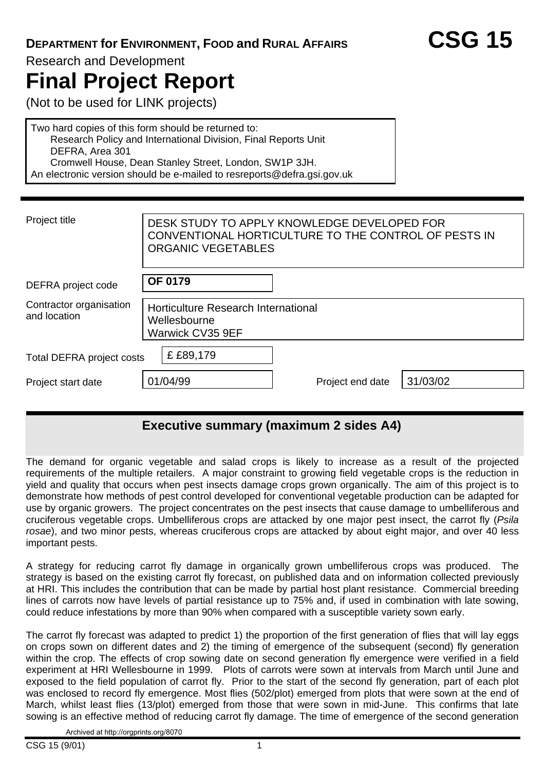## **DEPARTMENT for ENVIRONMENT, FOOD and RURAL AFFAIRS CSG 15**

Research and Development

# **Final Project Report**

(Not to be used for LINK projects)

Two hard copies of this form should be returned to: Research Policy and International Division, Final Reports Unit DEFRA, Area 301 Cromwell House, Dean Stanley Street, London, SW1P 3JH. An electronic version should be e-mailed to resreports@defra.gsi.gov.uk

| DESK STUDY TO APPLY KNOWLEDGE DEVELOPED FOR<br>CONVENTIONAL HORTICULTURE TO THE CONTROL OF PESTS IN<br><b>ORGANIC VEGETABLES</b> |                  |          |  |  |  |  |
|----------------------------------------------------------------------------------------------------------------------------------|------------------|----------|--|--|--|--|
| <b>OF 0179</b>                                                                                                                   |                  |          |  |  |  |  |
| Horticulture Research International<br>Wellesbourne<br>Warwick CV35 9EF                                                          |                  |          |  |  |  |  |
| £ £89,179<br><b>Total DEFRA project costs</b>                                                                                    |                  |          |  |  |  |  |
| 01/04/99                                                                                                                         | Project end date | 31/03/02 |  |  |  |  |
|                                                                                                                                  |                  |          |  |  |  |  |

## **Executive summary (maximum 2 sides A4)**

The demand for organic vegetable and salad crops is likely to increase as a result of the projected requirements of the multiple retailers. A major constraint to growing field vegetable crops is the reduction in yield and quality that occurs when pest insects damage crops grown organically. The aim of this project is to demonstrate how methods of pest control developed for conventional vegetable production can be adapted for use by organic growers. The project concentrates on the pest insects that cause damage to umbelliferous and cruciferous vegetable crops. Umbelliferous crops are attacked by one major pest insect, the carrot fly (*Psila rosae*), and two minor pests, whereas cruciferous crops are attacked by about eight major, and over 40 less important pests.

A strategy for reducing carrot fly damage in organically grown umbelliferous crops was produced. The strategy is based on the existing carrot fly forecast, on published data and on information collected previously at HRI. This includes the contribution that can be made by partial host plant resistance. Commercial breeding lines of carrots now have levels of partial resistance up to 75% and, if used in combination with late sowing, could reduce infestations by more than 90% when compared with a susceptible variety sown early.

The carrot fly forecast was adapted to predict 1) the proportion of the first generation of flies that will lay eggs on crops sown on different dates and 2) the timing of emergence of the subsequent (second) fly generation within the crop. The effects of crop sowing date on second generation fly emergence were verified in a field experiment at HRI Wellesbourne in 1999. Plots of carrots were sown at intervals from March until June and exposed to the field population of carrot fly. Prior to the start of the second fly generation, part of each plot was enclosed to record fly emergence. Most flies (502/plot) emerged from plots that were sown at the end of March, whilst least flies (13/plot) emerged from those that were sown in mid-June. This confirms that late sowing is an effective method of reducing carrot fly damage. The time of emergence of the second generation

Archived at http://orgprints.org/8070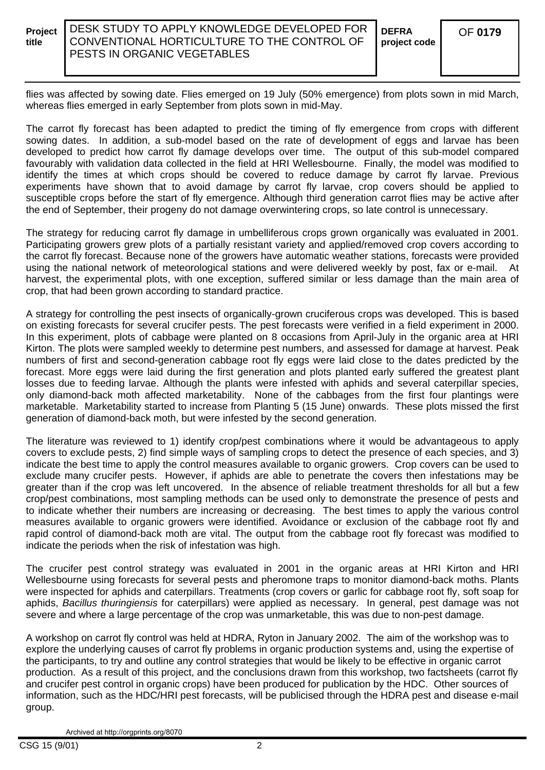flies was affected by sowing date. Flies emerged on 19 July (50% emergence) from plots sown in mid March, whereas flies emerged in early September from plots sown in mid-May.

The carrot fly forecast has been adapted to predict the timing of fly emergence from crops with different sowing dates. In addition, a sub-model based on the rate of development of eggs and larvae has been developed to predict how carrot fly damage develops over time. The output of this sub-model compared favourably with validation data collected in the field at HRI Wellesbourne. Finally, the model was modified to identify the times at which crops should be covered to reduce damage by carrot fly larvae. Previous experiments have shown that to avoid damage by carrot fly larvae, crop covers should be applied to susceptible crops before the start of fly emergence. Although third generation carrot flies may be active after the end of September, their progeny do not damage overwintering crops, so late control is unnecessary.

The strategy for reducing carrot fly damage in umbelliferous crops grown organically was evaluated in 2001. Participating growers grew plots of a partially resistant variety and applied/removed crop covers according to the carrot fly forecast. Because none of the growers have automatic weather stations, forecasts were provided using the national network of meteorological stations and were delivered weekly by post, fax or e-mail. At harvest, the experimental plots, with one exception, suffered similar or less damage than the main area of crop, that had been grown according to standard practice.

A strategy for controlling the pest insects of organically-grown cruciferous crops was developed. This is based on existing forecasts for several crucifer pests. The pest forecasts were verified in a field experiment in 2000. In this experiment, plots of cabbage were planted on 8 occasions from April-July in the organic area at HRI Kirton. The plots were sampled weekly to determine pest numbers, and assessed for damage at harvest. Peak numbers of first and second-generation cabbage root fly eggs were laid close to the dates predicted by the forecast. More eggs were laid during the first generation and plots planted early suffered the greatest plant losses due to feeding larvae. Although the plants were infested with aphids and several caterpillar species, only diamond-back moth affected marketability. None of the cabbages from the first four plantings were marketable. Marketability started to increase from Planting 5 (15 June) onwards. These plots missed the first generation of diamond-back moth, but were infested by the second generation.

The literature was reviewed to 1) identify crop/pest combinations where it would be advantageous to apply covers to exclude pests, 2) find simple ways of sampling crops to detect the presence of each species, and 3) indicate the best time to apply the control measures available to organic growers. Crop covers can be used to exclude many crucifer pests. However, if aphids are able to penetrate the covers then infestations may be greater than if the crop was left uncovered. In the absence of reliable treatment thresholds for all but a few crop/pest combinations, most sampling methods can be used only to demonstrate the presence of pests and to indicate whether their numbers are increasing or decreasing. The best times to apply the various control measures available to organic growers were identified. Avoidance or exclusion of the cabbage root fly and rapid control of diamond-back moth are vital. The output from the cabbage root fly forecast was modified to indicate the periods when the risk of infestation was high.

The crucifer pest control strategy was evaluated in 2001 in the organic areas at HRI Kirton and HRI Wellesbourne using forecasts for several pests and pheromone traps to monitor diamond-back moths. Plants were inspected for aphids and caterpillars. Treatments (crop covers or garlic for cabbage root fly, soft soap for aphids, *Bacillus thuringiensis* for caterpillars) were applied as necessary. In general, pest damage was not severe and where a large percentage of the crop was unmarketable, this was due to non-pest damage.

A workshop on carrot fly control was held at HDRA, Ryton in January 2002. The aim of the workshop was to explore the underlying causes of carrot fly problems in organic production systems and, using the expertise of the participants, to try and outline any control strategies that would be likely to be effective in organic carrot production. As a result of this project, and the conclusions drawn from this workshop, two factsheets (carrot fly and crucifer pest control in organic crops) have been produced for publication by the HDC. Other sources of information, such as the HDC/HRI pest forecasts, will be publicised through the HDRA pest and disease e-mail group.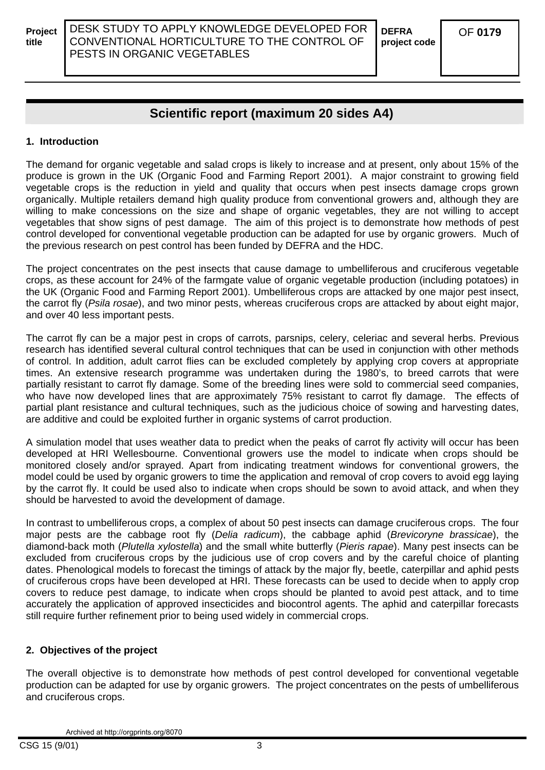## **Scientific report (maximum 20 sides A4)**

#### **1. Introduction**

The demand for organic vegetable and salad crops is likely to increase and at present, only about 15% of the produce is grown in the UK (Organic Food and Farming Report 2001). A major constraint to growing field vegetable crops is the reduction in yield and quality that occurs when pest insects damage crops grown organically. Multiple retailers demand high quality produce from conventional growers and, although they are willing to make concessions on the size and shape of organic vegetables, they are not willing to accept vegetables that show signs of pest damage. The aim of this project is to demonstrate how methods of pest control developed for conventional vegetable production can be adapted for use by organic growers. Much of the previous research on pest control has been funded by DEFRA and the HDC.

The project concentrates on the pest insects that cause damage to umbelliferous and cruciferous vegetable crops, as these account for 24% of the farmgate value of organic vegetable production (including potatoes) in the UK (Organic Food and Farming Report 2001). Umbelliferous crops are attacked by one major pest insect, the carrot fly (*Psila rosae*), and two minor pests, whereas cruciferous crops are attacked by about eight major, and over 40 less important pests.

The carrot fly can be a major pest in crops of carrots, parsnips, celery, celeriac and several herbs. Previous research has identified several cultural control techniques that can be used in conjunction with other methods of control. In addition, adult carrot flies can be excluded completely by applying crop covers at appropriate times. An extensive research programme was undertaken during the 1980's, to breed carrots that were partially resistant to carrot fly damage. Some of the breeding lines were sold to commercial seed companies, who have now developed lines that are approximately 75% resistant to carrot fly damage. The effects of partial plant resistance and cultural techniques, such as the judicious choice of sowing and harvesting dates, are additive and could be exploited further in organic systems of carrot production.

A simulation model that uses weather data to predict when the peaks of carrot fly activity will occur has been developed at HRI Wellesbourne. Conventional growers use the model to indicate when crops should be monitored closely and/or sprayed. Apart from indicating treatment windows for conventional growers, the model could be used by organic growers to time the application and removal of crop covers to avoid egg laying by the carrot fly. It could be used also to indicate when crops should be sown to avoid attack, and when they should be harvested to avoid the development of damage.

In contrast to umbelliferous crops, a complex of about 50 pest insects can damage cruciferous crops. The four major pests are the cabbage root fly (*Delia radicum*), the cabbage aphid (*Brevicoryne brassicae*), the diamond-back moth (*Plutella xylostella*) and the small white butterfly (*Pieris rapae*). Many pest insects can be excluded from cruciferous crops by the judicious use of crop covers and by the careful choice of planting dates. Phenological models to forecast the timings of attack by the major fly, beetle, caterpillar and aphid pests of cruciferous crops have been developed at HRI. These forecasts can be used to decide when to apply crop covers to reduce pest damage, to indicate when crops should be planted to avoid pest attack, and to time accurately the application of approved insecticides and biocontrol agents. The aphid and caterpillar forecasts still require further refinement prior to being used widely in commercial crops.

#### **2. Objectives of the project**

The overall objective is to demonstrate how methods of pest control developed for conventional vegetable production can be adapted for use by organic growers. The project concentrates on the pests of umbelliferous and cruciferous crops.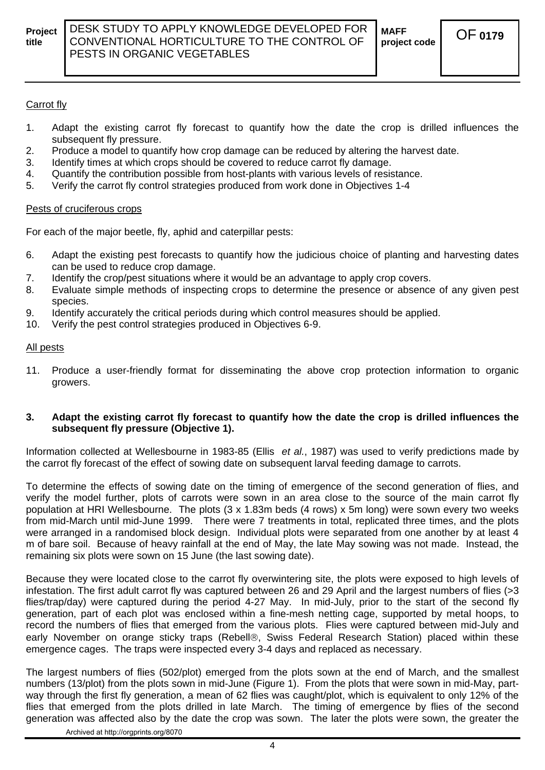#### Carrot fly

- 1. Adapt the existing carrot fly forecast to quantify how the date the crop is drilled influences the subsequent fly pressure.
- 2. Produce a model to quantify how crop damage can be reduced by altering the harvest date.
- 3. Identify times at which crops should be covered to reduce carrot fly damage.
- 4. Quantify the contribution possible from host-plants with various levels of resistance.
- 5. Verify the carrot fly control strategies produced from work done in Objectives 1-4

#### Pests of cruciferous crops

For each of the major beetle, fly, aphid and caterpillar pests:

- 6. Adapt the existing pest forecasts to quantify how the judicious choice of planting and harvesting dates can be used to reduce crop damage.
- 7. Identify the crop/pest situations where it would be an advantage to apply crop covers.
- 8. Evaluate simple methods of inspecting crops to determine the presence or absence of any given pest species.
- 9. Identify accurately the critical periods during which control measures should be applied.
- 10. Verify the pest control strategies produced in Objectives 6-9.

#### All pests

11. Produce a user-friendly format for disseminating the above crop protection information to organic growers.

#### **3. Adapt the existing carrot fly forecast to quantify how the date the crop is drilled influences the subsequent fly pressure (Objective 1).**

Information collected at Wellesbourne in 1983-85 (Ellis *et al.*, 1987) was used to verify predictions made by the carrot fly forecast of the effect of sowing date on subsequent larval feeding damage to carrots.

To determine the effects of sowing date on the timing of emergence of the second generation of flies, and verify the model further, plots of carrots were sown in an area close to the source of the main carrot fly population at HRI Wellesbourne. The plots (3 x 1.83m beds (4 rows) x 5m long) were sown every two weeks from mid-March until mid-June 1999. There were 7 treatments in total, replicated three times, and the plots were arranged in a randomised block design. Individual plots were separated from one another by at least 4 m of bare soil. Because of heavy rainfall at the end of May, the late May sowing was not made. Instead, the remaining six plots were sown on 15 June (the last sowing date).

Because they were located close to the carrot fly overwintering site, the plots were exposed to high levels of infestation. The first adult carrot fly was captured between 26 and 29 April and the largest numbers of flies (>3 flies/trap/day) were captured during the period 4-27 May. In mid-July, prior to the start of the second fly generation, part of each plot was enclosed within a fine-mesh netting cage, supported by metal hoops, to record the numbers of flies that emerged from the various plots. Flies were captured between mid-July and early November on orange sticky traps (Rebell®, Swiss Federal Research Station) placed within these emergence cages. The traps were inspected every 3-4 days and replaced as necessary.

The largest numbers of flies (502/plot) emerged from the plots sown at the end of March, and the smallest numbers (13/plot) from the plots sown in mid-June (Figure 1). From the plots that were sown in mid-May, partway through the first fly generation, a mean of 62 flies was caught/plot, which is equivalent to only 12% of the flies that emerged from the plots drilled in late March. The timing of emergence by flies of the second generation was affected also by the date the crop was sown. The later the plots were sown, the greater the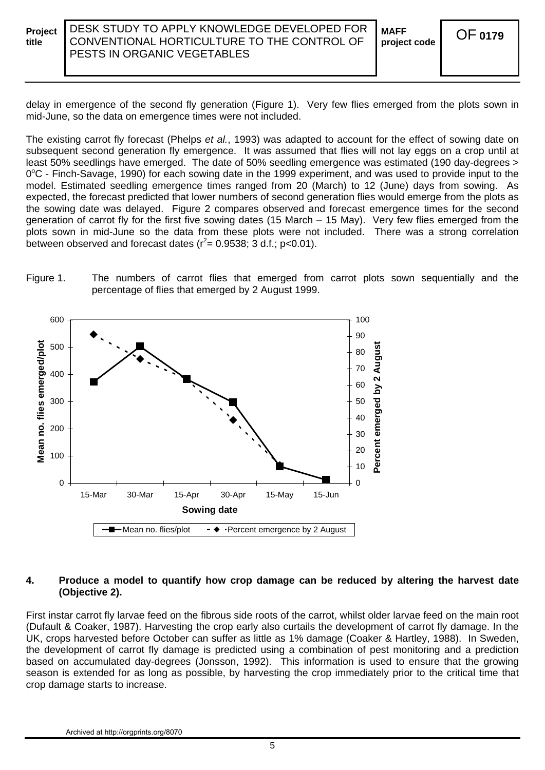**project code** OF**<sup>0179</sup>**

delay in emergence of the second fly generation (Figure 1). Very few flies emerged from the plots sown in mid-June, so the data on emergence times were not included.

The existing carrot fly forecast (Phelps *et al.*, 1993) was adapted to account for the effect of sowing date on subsequent second generation fly emergence. It was assumed that flies will not lay eggs on a crop until at least 50% seedlings have emerged. The date of 50% seedling emergence was estimated (190 day-degrees > 0°C - Finch-Savage, 1990) for each sowing date in the 1999 experiment, and was used to provide input to the model. Estimated seedling emergence times ranged from 20 (March) to 12 (June) days from sowing. As expected, the forecast predicted that lower numbers of second generation flies would emerge from the plots as the sowing date was delayed. Figure 2 compares observed and forecast emergence times for the second generation of carrot fly for the first five sowing dates (15 March – 15 May). Very few flies emerged from the plots sown in mid-June so the data from these plots were not included. There was a strong correlation between observed and forecast dates ( $r^2$ = 0.9538; 3 d.f.; p<0.01).





#### **4. Produce a model to quantify how crop damage can be reduced by altering the harvest date (Objective 2).**

First instar carrot fly larvae feed on the fibrous side roots of the carrot, whilst older larvae feed on the main root (Dufault & Coaker, 1987). Harvesting the crop early also curtails the development of carrot fly damage. In the UK, crops harvested before October can suffer as little as 1% damage (Coaker & Hartley, 1988). In Sweden, the development of carrot fly damage is predicted using a combination of pest monitoring and a prediction based on accumulated day-degrees (Jonsson, 1992). This information is used to ensure that the growing season is extended for as long as possible, by harvesting the crop immediately prior to the critical time that crop damage starts to increase.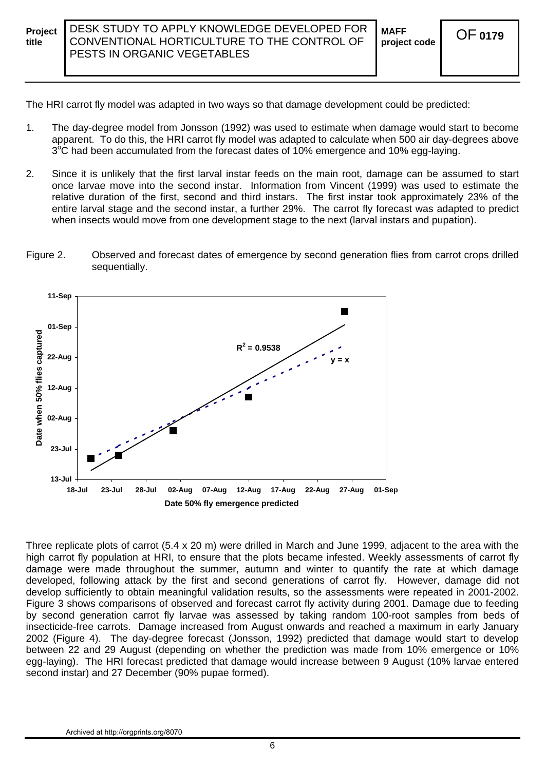The HRI carrot fly model was adapted in two ways so that damage development could be predicted:

- 1. The day-degree model from Jonsson (1992) was used to estimate when damage would start to become apparent. To do this, the HRI carrot fly model was adapted to calculate when 500 air day-degrees above 3<sup>°</sup>C had been accumulated from the forecast dates of 10% emergence and 10% egg-laying.
- 2. Since it is unlikely that the first larval instar feeds on the main root, damage can be assumed to start once larvae move into the second instar. Information from Vincent (1999) was used to estimate the relative duration of the first, second and third instars. The first instar took approximately 23% of the entire larval stage and the second instar, a further 29%. The carrot fly forecast was adapted to predict when insects would move from one development stage to the next (larval instars and pupation).

#### Figure 2. Observed and forecast dates of emergence by second generation flies from carrot crops drilled sequentially.



Three replicate plots of carrot (5.4 x 20 m) were drilled in March and June 1999, adjacent to the area with the high carrot fly population at HRI, to ensure that the plots became infested. Weekly assessments of carrot fly damage were made throughout the summer, autumn and winter to quantify the rate at which damage developed, following attack by the first and second generations of carrot fly. However, damage did not develop sufficiently to obtain meaningful validation results, so the assessments were repeated in 2001-2002. Figure 3 shows comparisons of observed and forecast carrot fly activity during 2001. Damage due to feeding by second generation carrot fly larvae was assessed by taking random 100-root samples from beds of insecticide-free carrots. Damage increased from August onwards and reached a maximum in early January 2002 (Figure 4). The day-degree forecast (Jonsson, 1992) predicted that damage would start to develop between 22 and 29 August (depending on whether the prediction was made from 10% emergence or 10% egg-laying). The HRI forecast predicted that damage would increase between 9 August (10% larvae entered second instar) and 27 December (90% pupae formed).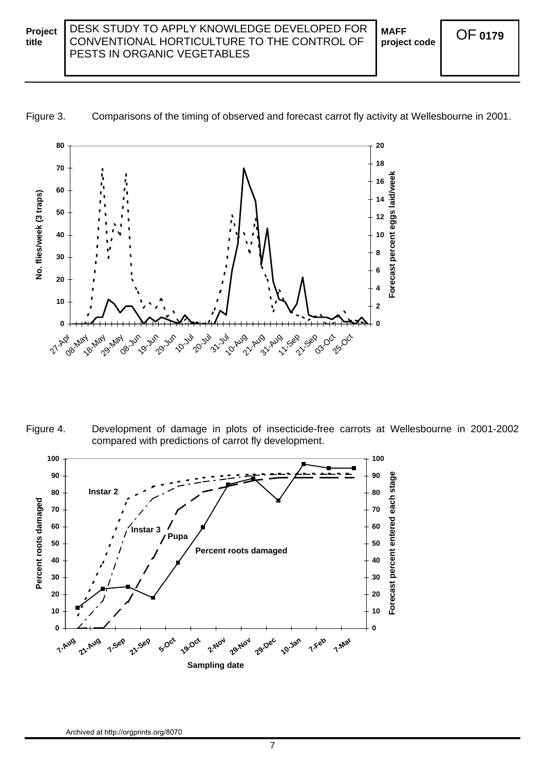**MAFF** 

**project code** OF**<sup>0179</sup>**





Figure 4. Development of damage in plots of insecticide-free carrots at Wellesbourne in 2001-2002 compared with predictions of carrot fly development.

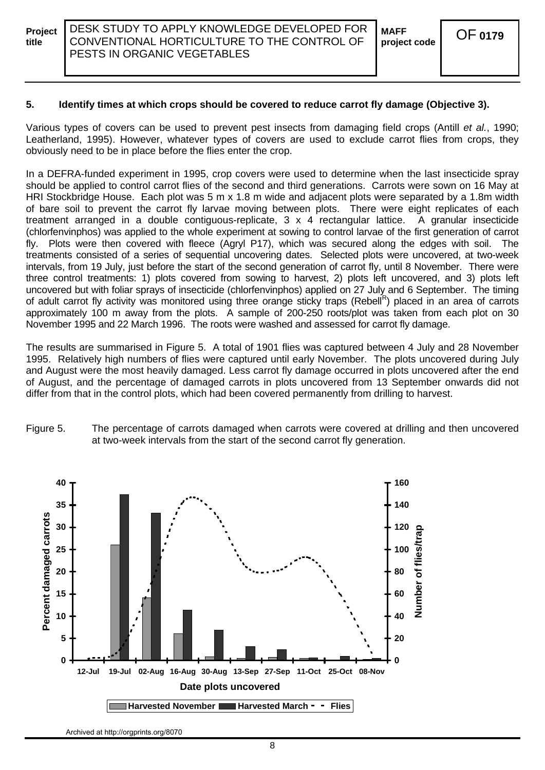#### **5. Identify times at which crops should be covered to reduce carrot fly damage (Objective 3).**

Various types of covers can be used to prevent pest insects from damaging field crops (Antill *et al.*, 1990; Leatherland, 1995). However, whatever types of covers are used to exclude carrot flies from crops, they obviously need to be in place before the flies enter the crop.

In a DEFRA-funded experiment in 1995, crop covers were used to determine when the last insecticide spray should be applied to control carrot flies of the second and third generations. Carrots were sown on 16 May at HRI Stockbridge House. Each plot was 5 m x 1.8 m wide and adjacent plots were separated by a 1.8m width of bare soil to prevent the carrot fly larvae moving between plots. There were eight replicates of each treatment arranged in a double contiguous-replicate, 3 x 4 rectangular lattice. A granular insecticide (chlorfenvinphos) was applied to the whole experiment at sowing to control larvae of the first generation of carrot fly. Plots were then covered with fleece (Agryl P17), which was secured along the edges with soil. The treatments consisted of a series of sequential uncovering dates. Selected plots were uncovered, at two-week intervals, from 19 July, just before the start of the second generation of carrot fly, until 8 November. There were three control treatments: 1) plots covered from sowing to harvest, 2) plots left uncovered, and 3) plots left uncovered but with foliar sprays of insecticide (chlorfenvinphos) applied on 27 July and 6 September. The timing of adult carrot fly activity was monitored using three orange sticky traps (Rebell<sup>R</sup>) placed in an area of carrots approximately 100 m away from the plots. A sample of 200-250 roots/plot was taken from each plot on 30 November 1995 and 22 March 1996. The roots were washed and assessed for carrot fly damage.

The results are summarised in Figure 5. A total of 1901 flies was captured between 4 July and 28 November 1995. Relatively high numbers of flies were captured until early November. The plots uncovered during July and August were the most heavily damaged. Less carrot fly damage occurred in plots uncovered after the end of August, and the percentage of damaged carrots in plots uncovered from 13 September onwards did not differ from that in the control plots, which had been covered permanently from drilling to harvest.



Figure 5. The percentage of carrots damaged when carrots were covered at drilling and then uncovered at two-week intervals from the start of the second carrot fly generation.

Archived at http://orgprints.org/8070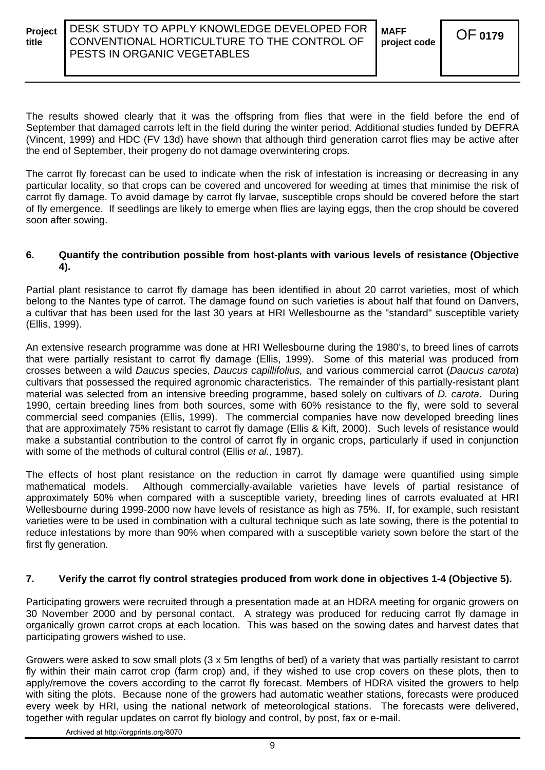The results showed clearly that it was the offspring from flies that were in the field before the end of September that damaged carrots left in the field during the winter period. Additional studies funded by DEFRA (Vincent, 1999) and HDC (FV 13d) have shown that although third generation carrot flies may be active after the end of September, their progeny do not damage overwintering crops.

The carrot fly forecast can be used to indicate when the risk of infestation is increasing or decreasing in any particular locality, so that crops can be covered and uncovered for weeding at times that minimise the risk of carrot fly damage. To avoid damage by carrot fly larvae, susceptible crops should be covered before the start of fly emergence. If seedlings are likely to emerge when flies are laying eggs, then the crop should be covered soon after sowing.

#### **6. Quantify the contribution possible from host-plants with various levels of resistance (Objective 4).**

Partial plant resistance to carrot fly damage has been identified in about 20 carrot varieties, most of which belong to the Nantes type of carrot. The damage found on such varieties is about half that found on Danvers, a cultivar that has been used for the last 30 years at HRI Wellesbourne as the "standard" susceptible variety (Ellis, 1999).

An extensive research programme was done at HRI Wellesbourne during the 1980's, to breed lines of carrots that were partially resistant to carrot fly damage (Ellis, 1999). Some of this material was produced from crosses between a wild *Daucus* species, *Daucus capillifolius,* and various commercial carrot (*Daucus carota*) cultivars that possessed the required agronomic characteristics. The remainder of this partially-resistant plant material was selected from an intensive breeding programme, based solely on cultivars of *D. carota*. During 1990, certain breeding lines from both sources, some with 60% resistance to the fly, were sold to several commercial seed companies (Ellis, 1999). The commercial companies have now developed breeding lines that are approximately 75% resistant to carrot fly damage (Ellis & Kift, 2000). Such levels of resistance would make a substantial contribution to the control of carrot fly in organic crops, particularly if used in conjunction with some of the methods of cultural control (Ellis *et al.*, 1987).

The effects of host plant resistance on the reduction in carrot fly damage were quantified using simple mathematical models. Although commercially-available varieties have levels of partial resistance of approximately 50% when compared with a susceptible variety, breeding lines of carrots evaluated at HRI Wellesbourne during 1999-2000 now have levels of resistance as high as 75%. If, for example, such resistant varieties were to be used in combination with a cultural technique such as late sowing, there is the potential to reduce infestations by more than 90% when compared with a susceptible variety sown before the start of the first fly generation.

#### **7. Verify the carrot fly control strategies produced from work done in objectives 1-4 (Objective 5).**

Participating growers were recruited through a presentation made at an HDRA meeting for organic growers on 30 November 2000 and by personal contact. A strategy was produced for reducing carrot fly damage in organically grown carrot crops at each location. This was based on the sowing dates and harvest dates that participating growers wished to use.

Growers were asked to sow small plots (3 x 5m lengths of bed) of a variety that was partially resistant to carrot fly within their main carrot crop (farm crop) and, if they wished to use crop covers on these plots, then to apply/remove the covers according to the carrot fly forecast. Members of HDRA visited the growers to help with siting the plots. Because none of the growers had automatic weather stations, forecasts were produced every week by HRI, using the national network of meteorological stations. The forecasts were delivered, together with regular updates on carrot fly biology and control, by post, fax or e-mail.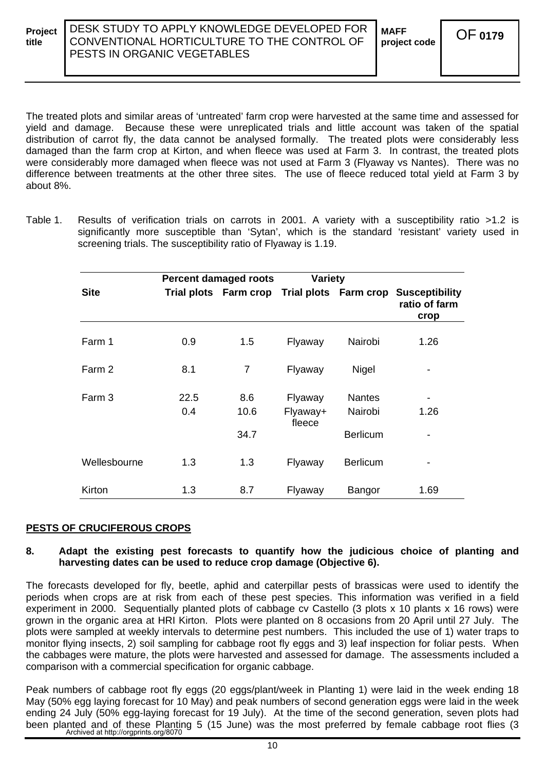The treated plots and similar areas of 'untreated' farm crop were harvested at the same time and assessed for yield and damage. Because these were unreplicated trials and little account was taken of the spatial distribution of carrot fly, the data cannot be analysed formally. The treated plots were considerably less damaged than the farm crop at Kirton, and when fleece was used at Farm 3. In contrast, the treated plots were considerably more damaged when fleece was not used at Farm 3 (Flyaway vs Nantes). There was no difference between treatments at the other three sites. The use of fleece reduced total yield at Farm 3 by about 8%.

Table 1. Results of verification trials on carrots in 2001. A variety with a susceptibility ratio >1.2 is significantly more susceptible than 'Sytan', which is the standard 'resistant' variety used in screening trials. The susceptibility ratio of Flyaway is 1.19.

|              | <b>Percent damaged roots</b> |                                             | <b>Variety</b>                |                          |                                                |  |
|--------------|------------------------------|---------------------------------------------|-------------------------------|--------------------------|------------------------------------------------|--|
| <b>Site</b>  |                              | Trial plots Farm crop Trial plots Farm crop |                               |                          | <b>Susceptibility</b><br>ratio of farm<br>crop |  |
| Farm 1       | 0.9                          | 1.5                                         | Flyaway                       | Nairobi                  | 1.26                                           |  |
| Farm 2       | 8.1                          | $\overline{7}$                              | Flyaway                       | Nigel                    |                                                |  |
| Farm 3       | 22.5<br>0.4                  | 8.6<br>10.6                                 | Flyaway<br>Flyaway+<br>fleece | <b>Nantes</b><br>Nairobi | 1.26                                           |  |
|              |                              | 34.7                                        |                               | <b>Berlicum</b>          |                                                |  |
| Wellesbourne | 1.3                          | 1.3                                         | Flyaway                       | <b>Berlicum</b>          |                                                |  |
| Kirton       | 1.3                          | 8.7                                         | Flyaway                       | Bangor                   | 1.69                                           |  |

#### **PESTS OF CRUCIFEROUS CROPS**

#### **8. Adapt the existing pest forecasts to quantify how the judicious choice of planting and harvesting dates can be used to reduce crop damage (Objective 6).**

The forecasts developed for fly, beetle, aphid and caterpillar pests of brassicas were used to identify the periods when crops are at risk from each of these pest species. This information was verified in a field experiment in 2000. Sequentially planted plots of cabbage cv Castello (3 plots x 10 plants x 16 rows) were grown in the organic area at HRI Kirton. Plots were planted on 8 occasions from 20 April until 27 July. The plots were sampled at weekly intervals to determine pest numbers. This included the use of 1) water traps to monitor flying insects, 2) soil sampling for cabbage root fly eggs and 3) leaf inspection for foliar pests. When the cabbages were mature, the plots were harvested and assessed for damage. The assessments included a comparison with a commercial specification for organic cabbage.

Peak numbers of cabbage root fly eggs (20 eggs/plant/week in Planting 1) were laid in the week ending 18 May (50% egg laying forecast for 10 May) and peak numbers of second generation eggs were laid in the week ending 24 July (50% egg-laying forecast for 19 July). At the time of the second generation, seven plots had been planted and of these Planting 5 (15 June) was the most preferred by female cabbage root flies (3<br>Archived at http://orgprints.org/8070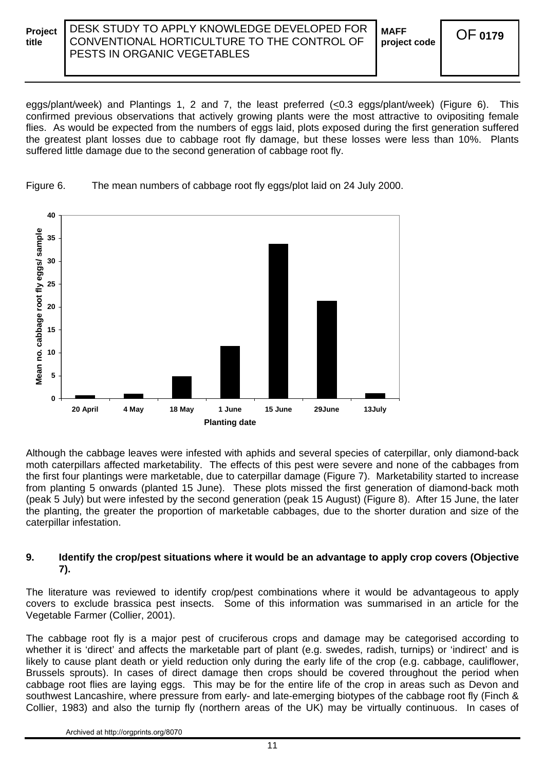**MAFF project code** OF**<sup>0179</sup>**

eggs/plant/week) and Plantings 1, 2 and 7, the least preferred (<0.3 eggs/plant/week) (Figure 6). This confirmed previous observations that actively growing plants were the most attractive to ovipositing female flies. As would be expected from the numbers of eggs laid, plots exposed during the first generation suffered the greatest plant losses due to cabbage root fly damage, but these losses were less than 10%. Plants suffered little damage due to the second generation of cabbage root fly.



Figure 6. The mean numbers of cabbage root fly eggs/plot laid on 24 July 2000.

Although the cabbage leaves were infested with aphids and several species of caterpillar, only diamond-back moth caterpillars affected marketability. The effects of this pest were severe and none of the cabbages from the first four plantings were marketable, due to caterpillar damage (Figure 7). Marketability started to increase from planting 5 onwards (planted 15 June). These plots missed the first generation of diamond-back moth (peak 5 July) but were infested by the second generation (peak 15 August) (Figure 8). After 15 June, the later the planting, the greater the proportion of marketable cabbages, due to the shorter duration and size of the caterpillar infestation.

#### **9. Identify the crop/pest situations where it would be an advantage to apply crop covers (Objective 7).**

The literature was reviewed to identify crop/pest combinations where it would be advantageous to apply covers to exclude brassica pest insects. Some of this information was summarised in an article for the Vegetable Farmer (Collier, 2001).

The cabbage root fly is a major pest of cruciferous crops and damage may be categorised according to whether it is 'direct' and affects the marketable part of plant (e.g. swedes, radish, turnips) or 'indirect' and is likely to cause plant death or yield reduction only during the early life of the crop (e.g. cabbage, cauliflower, Brussels sprouts). In cases of direct damage then crops should be covered throughout the period when cabbage root flies are laying eggs. This may be for the entire life of the crop in areas such as Devon and southwest Lancashire, where pressure from early- and late-emerging biotypes of the cabbage root fly (Finch & Collier, 1983) and also the turnip fly (northern areas of the UK) may be virtually continuous. In cases of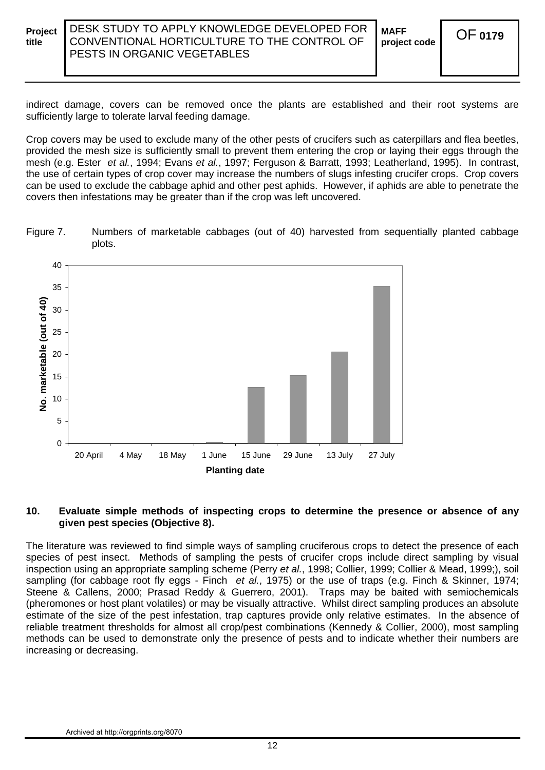**MAFF project code** OF**<sup>0179</sup>**

indirect damage, covers can be removed once the plants are established and their root systems are sufficiently large to tolerate larval feeding damage.

Crop covers may be used to exclude many of the other pests of crucifers such as caterpillars and flea beetles, provided the mesh size is sufficiently small to prevent them entering the crop or laying their eggs through the mesh (e.g. Ester *et al.*, 1994; Evans *et al.*, 1997; Ferguson & Barratt, 1993; Leatherland, 1995). In contrast, the use of certain types of crop cover may increase the numbers of slugs infesting crucifer crops. Crop covers can be used to exclude the cabbage aphid and other pest aphids. However, if aphids are able to penetrate the covers then infestations may be greater than if the crop was left uncovered.

Figure 7. Numbers of marketable cabbages (out of 40) harvested from sequentially planted cabbage plots.



#### **10. Evaluate simple methods of inspecting crops to determine the presence or absence of any given pest species (Objective 8).**

The literature was reviewed to find simple ways of sampling cruciferous crops to detect the presence of each species of pest insect. Methods of sampling the pests of crucifer crops include direct sampling by visual inspection using an appropriate sampling scheme (Perry *et al.*, 1998; Collier, 1999; Collier & Mead, 1999;), soil sampling (for cabbage root fly eggs - Finch *et al.*, 1975) or the use of traps (e.g. Finch & Skinner, 1974; Steene & Callens, 2000; Prasad Reddy & Guerrero, 2001). Traps may be baited with semiochemicals (pheromones or host plant volatiles) or may be visually attractive. Whilst direct sampling produces an absolute estimate of the size of the pest infestation, trap captures provide only relative estimates. In the absence of reliable treatment thresholds for almost all crop/pest combinations (Kennedy & Collier, 2000), most sampling methods can be used to demonstrate only the presence of pests and to indicate whether their numbers are increasing or decreasing.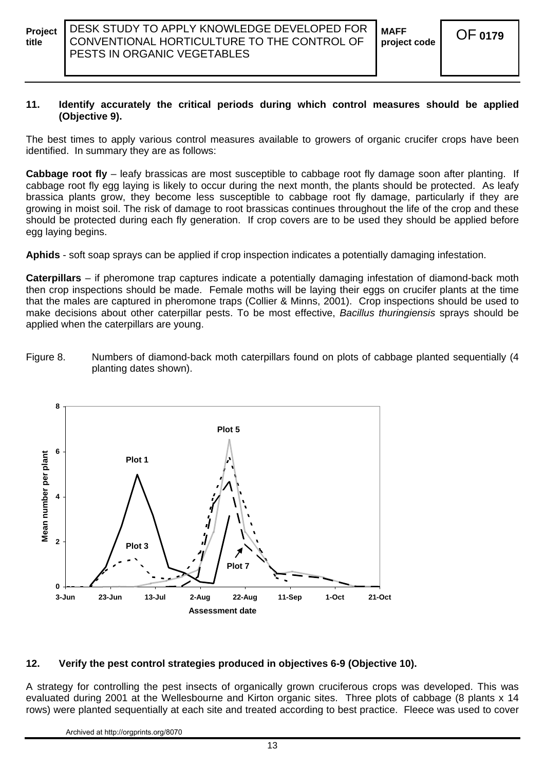#### **11. Identify accurately the critical periods during which control measures should be applied (Objective 9).**

The best times to apply various control measures available to growers of organic crucifer crops have been identified. In summary they are as follows:

**Cabbage root fly** – leafy brassicas are most susceptible to cabbage root fly damage soon after planting. If cabbage root fly egg laying is likely to occur during the next month, the plants should be protected. As leafy brassica plants grow, they become less susceptible to cabbage root fly damage, particularly if they are growing in moist soil. The risk of damage to root brassicas continues throughout the life of the crop and these should be protected during each fly generation. If crop covers are to be used they should be applied before egg laying begins.

**Aphids** - soft soap sprays can be applied if crop inspection indicates a potentially damaging infestation.

**Caterpillars** – if pheromone trap captures indicate a potentially damaging infestation of diamond-back moth then crop inspections should be made. Female moths will be laying their eggs on crucifer plants at the time that the males are captured in pheromone traps (Collier & Minns, 2001). Crop inspections should be used to make decisions about other caterpillar pests. To be most effective, *Bacillus thuringiensis* sprays should be applied when the caterpillars are young.

Figure 8. Numbers of diamond-back moth caterpillars found on plots of cabbage planted sequentially (4 planting dates shown).



### **12. Verify the pest control strategies produced in objectives 6-9 (Objective 10).**

A strategy for controlling the pest insects of organically grown cruciferous crops was developed. This was evaluated during 2001 at the Wellesbourne and Kirton organic sites. Three plots of cabbage (8 plants x 14 rows) were planted sequentially at each site and treated according to best practice. Fleece was used to cover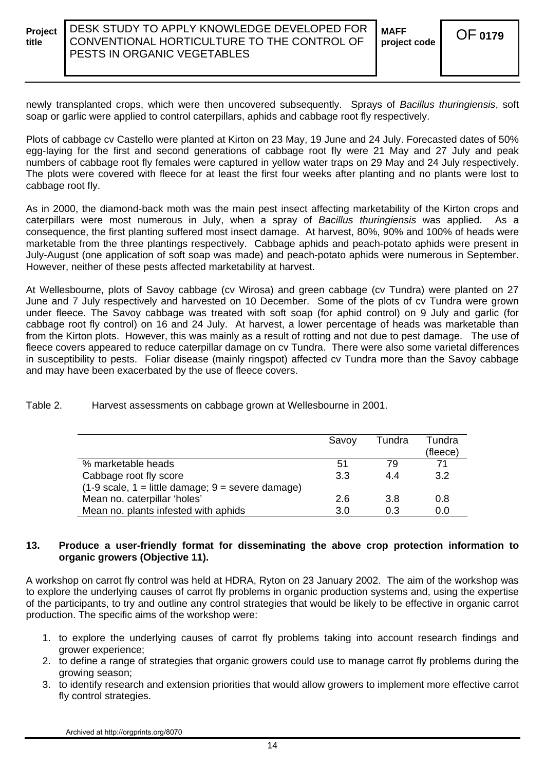**MAFF project code** OF**<sup>0179</sup>**

newly transplanted crops, which were then uncovered subsequently. Sprays of *Bacillus thuringiensis*, soft soap or garlic were applied to control caterpillars, aphids and cabbage root fly respectively.

Plots of cabbage cv Castello were planted at Kirton on 23 May, 19 June and 24 July. Forecasted dates of 50% egg-laying for the first and second generations of cabbage root fly were 21 May and 27 July and peak numbers of cabbage root fly females were captured in yellow water traps on 29 May and 24 July respectively. The plots were covered with fleece for at least the first four weeks after planting and no plants were lost to cabbage root fly.

As in 2000, the diamond-back moth was the main pest insect affecting marketability of the Kirton crops and caterpillars were most numerous in July, when a spray of *Bacillus thuringiensis* was applied. As a consequence, the first planting suffered most insect damage. At harvest, 80%, 90% and 100% of heads were marketable from the three plantings respectively. Cabbage aphids and peach-potato aphids were present in July-August (one application of soft soap was made) and peach-potato aphids were numerous in September. However, neither of these pests affected marketability at harvest.

At Wellesbourne, plots of Savoy cabbage (cv Wirosa) and green cabbage (cv Tundra) were planted on 27 June and 7 July respectively and harvested on 10 December. Some of the plots of cv Tundra were grown under fleece. The Savoy cabbage was treated with soft soap (for aphid control) on 9 July and garlic (for cabbage root fly control) on 16 and 24 July. At harvest, a lower percentage of heads was marketable than from the Kirton plots. However, this was mainly as a result of rotting and not due to pest damage. The use of fleece covers appeared to reduce caterpillar damage on cv Tundra. There were also some varietal differences in susceptibility to pests. Foliar disease (mainly ringspot) affected cv Tundra more than the Savoy cabbage and may have been exacerbated by the use of fleece covers.

Table 2. Harvest assessments on cabbage grown at Wellesbourne in 2001.

|                                                                           | Savoy | Tundra | Tundra   |
|---------------------------------------------------------------------------|-------|--------|----------|
|                                                                           |       |        | (fleece) |
| % marketable heads                                                        | 51    | 79     | 71       |
| Cabbage root fly score                                                    | 3.3   | 44     | 3.2      |
| $(1-9 \text{ scale}, 1 = \text{little damage}; 9 = \text{severe damage})$ |       |        |          |
| Mean no. caterpillar 'holes'                                              | 2.6   | 3.8    | 0.8      |
| Mean no. plants infested with aphids                                      | 3.0   | 0.3    | 0.0      |

#### **13. Produce a user-friendly format for disseminating the above crop protection information to organic growers (Objective 11).**

A workshop on carrot fly control was held at HDRA, Ryton on 23 January 2002. The aim of the workshop was to explore the underlying causes of carrot fly problems in organic production systems and, using the expertise of the participants, to try and outline any control strategies that would be likely to be effective in organic carrot production. The specific aims of the workshop were:

- 1. to explore the underlying causes of carrot fly problems taking into account research findings and grower experience;
- 2. to define a range of strategies that organic growers could use to manage carrot fly problems during the growing season;
- 3. to identify research and extension priorities that would allow growers to implement more effective carrot fly control strategies.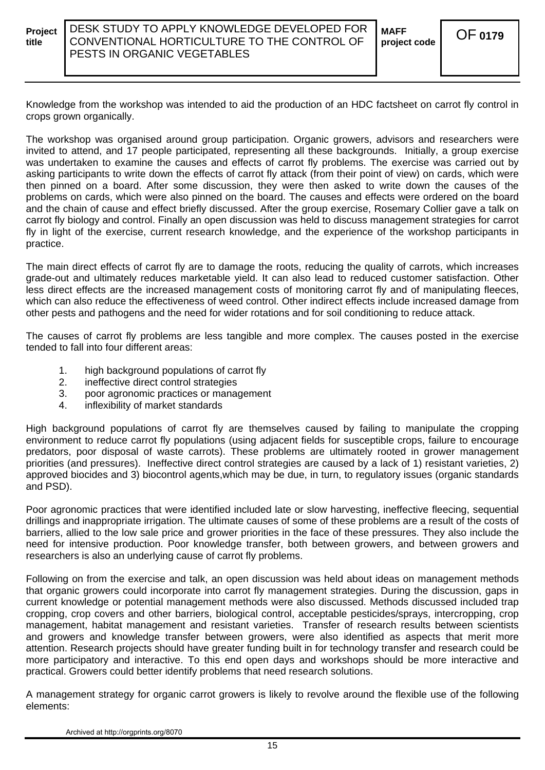Knowledge from the workshop was intended to aid the production of an HDC factsheet on carrot fly control in crops grown organically.

The workshop was organised around group participation. Organic growers, advisors and researchers were invited to attend, and 17 people participated, representing all these backgrounds. Initially, a group exercise was undertaken to examine the causes and effects of carrot fly problems. The exercise was carried out by asking participants to write down the effects of carrot fly attack (from their point of view) on cards, which were then pinned on a board. After some discussion, they were then asked to write down the causes of the problems on cards, which were also pinned on the board. The causes and effects were ordered on the board and the chain of cause and effect briefly discussed. After the group exercise, Rosemary Collier gave a talk on carrot fly biology and control. Finally an open discussion was held to discuss management strategies for carrot fly in light of the exercise, current research knowledge, and the experience of the workshop participants in practice.

The main direct effects of carrot fly are to damage the roots, reducing the quality of carrots, which increases grade-out and ultimately reduces marketable yield. It can also lead to reduced customer satisfaction. Other less direct effects are the increased management costs of monitoring carrot fly and of manipulating fleeces, which can also reduce the effectiveness of weed control. Other indirect effects include increased damage from other pests and pathogens and the need for wider rotations and for soil conditioning to reduce attack.

The causes of carrot fly problems are less tangible and more complex. The causes posted in the exercise tended to fall into four different areas:

- 1. high background populations of carrot fly
- 2. ineffective direct control strategies
- 3. poor agronomic practices or management
- 4. inflexibility of market standards

High background populations of carrot fly are themselves caused by failing to manipulate the cropping environment to reduce carrot fly populations (using adjacent fields for susceptible crops, failure to encourage predators, poor disposal of waste carrots). These problems are ultimately rooted in grower management priorities (and pressures). Ineffective direct control strategies are caused by a lack of 1) resistant varieties, 2) approved biocides and 3) biocontrol agents,which may be due, in turn, to regulatory issues (organic standards and PSD).

Poor agronomic practices that were identified included late or slow harvesting, ineffective fleecing, sequential drillings and inappropriate irrigation. The ultimate causes of some of these problems are a result of the costs of barriers, allied to the low sale price and grower priorities in the face of these pressures. They also include the need for intensive production. Poor knowledge transfer, both between growers, and between growers and researchers is also an underlying cause of carrot fly problems.

Following on from the exercise and talk, an open discussion was held about ideas on management methods that organic growers could incorporate into carrot fly management strategies. During the discussion, gaps in current knowledge or potential management methods were also discussed. Methods discussed included trap cropping, crop covers and other barriers, biological control, acceptable pesticides/sprays, intercropping, crop management, habitat management and resistant varieties. Transfer of research results between scientists and growers and knowledge transfer between growers, were also identified as aspects that merit more attention. Research projects should have greater funding built in for technology transfer and research could be more participatory and interactive. To this end open days and workshops should be more interactive and practical. Growers could better identify problems that need research solutions.

A management strategy for organic carrot growers is likely to revolve around the flexible use of the following elements: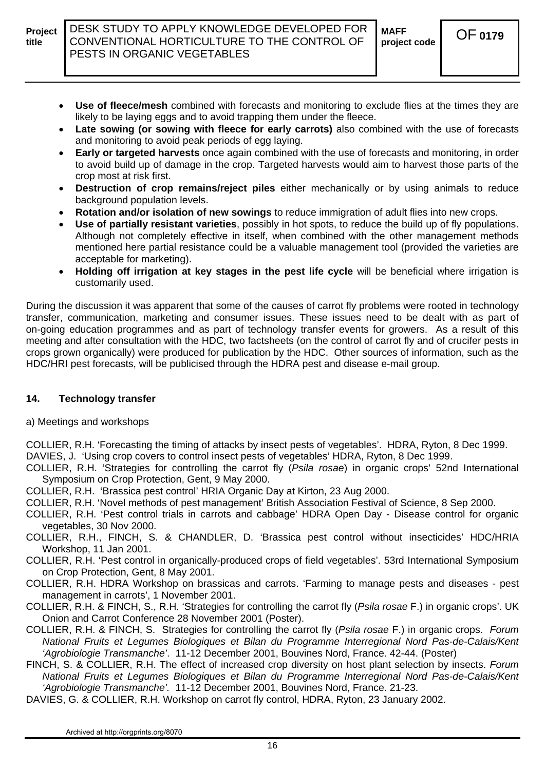

- **Use of fleece/mesh** combined with forecasts and monitoring to exclude flies at the times they are likely to be laying eggs and to avoid trapping them under the fleece.
- **Late sowing (or sowing with fleece for early carrots)** also combined with the use of forecasts and monitoring to avoid peak periods of egg laying.
- **Early or targeted harvests** once again combined with the use of forecasts and monitoring, in order to avoid build up of damage in the crop. Targeted harvests would aim to harvest those parts of the crop most at risk first.
- **Destruction of crop remains/reject piles** either mechanically or by using animals to reduce background population levels.
- **Rotation and/or isolation of new sowings** to reduce immigration of adult flies into new crops.
- **Use of partially resistant varieties**, possibly in hot spots, to reduce the build up of fly populations. Although not completely effective in itself, when combined with the other management methods mentioned here partial resistance could be a valuable management tool (provided the varieties are acceptable for marketing).
- **Holding off irrigation at key stages in the pest life cycle** will be beneficial where irrigation is customarily used.

During the discussion it was apparent that some of the causes of carrot fly problems were rooted in technology transfer, communication, marketing and consumer issues. These issues need to be dealt with as part of on-going education programmes and as part of technology transfer events for growers. As a result of this meeting and after consultation with the HDC, two factsheets (on the control of carrot fly and of crucifer pests in crops grown organically) were produced for publication by the HDC. Other sources of information, such as the HDC/HRI pest forecasts, will be publicised through the HDRA pest and disease e-mail group.

#### **14. Technology transfer**

a) Meetings and workshops

COLLIER, R.H. 'Forecasting the timing of attacks by insect pests of vegetables'. HDRA, Ryton, 8 Dec 1999. DAVIES, J. 'Using crop covers to control insect pests of vegetables' HDRA, Ryton, 8 Dec 1999.

COLLIER, R.H. 'Strategies for controlling the carrot fly (*Psila rosae*) in organic crops' 52nd International Symposium on Crop Protection, Gent, 9 May 2000.

COLLIER, R.H. 'Brassica pest control' HRIA Organic Day at Kirton, 23 Aug 2000.

- COLLIER, R.H. 'Novel methods of pest management' British Association Festival of Science, 8 Sep 2000.
- COLLIER, R.H. 'Pest control trials in carrots and cabbage' HDRA Open Day Disease control for organic vegetables, 30 Nov 2000.
- COLLIER, R.H., FINCH, S. & CHANDLER, D. 'Brassica pest control without insecticides' HDC/HRIA Workshop, 11 Jan 2001.
- COLLIER, R.H. 'Pest control in organically-produced crops of field vegetables'. 53rd International Symposium on Crop Protection, Gent, 8 May 2001.
- COLLIER, R.H. HDRA Workshop on brassicas and carrots. 'Farming to manage pests and diseases pest management in carrots', 1 November 2001.
- COLLIER, R.H. & FINCH, S., R.H. 'Strategies for controlling the carrot fly (*Psila rosae* F.) in organic crops'. UK Onion and Carrot Conference 28 November 2001 (Poster).
- COLLIER, R.H. & FINCH, S. Strategies for controlling the carrot fly (*Psila rosae* F.) in organic crops. *Forum National Fruits et Legumes Biologiques et Bilan du Programme Interregional Nord Pas-de-Calais/Kent 'Agrobiologie Transmanche'*. 11-12 December 2001, Bouvines Nord, France. 42-44. (Poster)
- FINCH, S. & COLLIER, R.H. The effect of increased crop diversity on host plant selection by insects. *Forum National Fruits et Legumes Biologiques et Bilan du Programme Interregional Nord Pas-de-Calais/Kent 'Agrobiologie Transmanche'.* 11-12 December 2001, Bouvines Nord, France. 21-23.
- DAVIES, G. & COLLIER, R.H. Workshop on carrot fly control, HDRA, Ryton, 23 January 2002.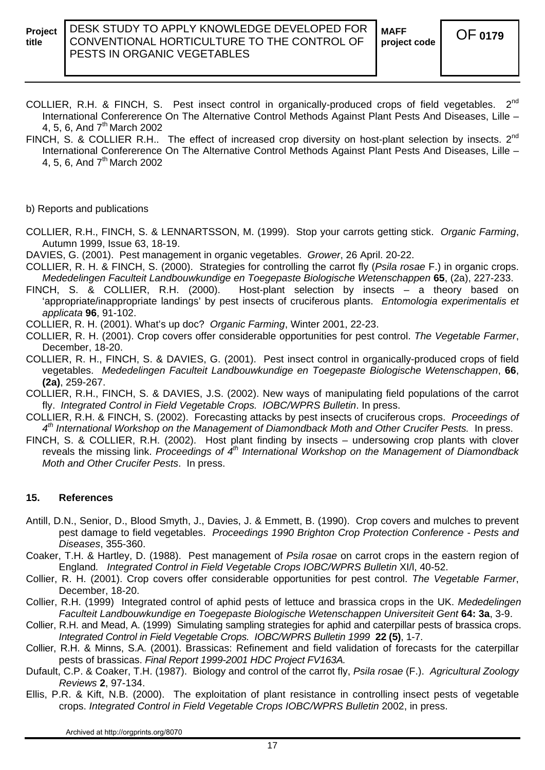- COLLIER, R.H. & FINCH, S. Pest insect control in organically-produced crops of field vegetables. 2<sup>nd</sup> International Confererence On The Alternative Control Methods Against Plant Pests And Diseases, Lille – 4, 5, 6, And 7<sup>th</sup> March 2002
- FINCH, S. & COLLIER R.H.. The effect of increased crop diversity on host-plant selection by insects. 2<sup>nd</sup> International Confererence On The Alternative Control Methods Against Plant Pests And Diseases, Lille – 4, 5, 6, And 7<sup>th</sup> March 2002

#### b) Reports and publications

- COLLIER, R.H., FINCH, S. & LENNARTSSON, M. (1999). Stop your carrots getting stick. *Organic Farming*, Autumn 1999, Issue 63, 18-19.
- DAVIES, G. (2001). Pest management in organic vegetables. *Grower*, 26 April. 20-22.
- COLLIER, R. H. & FINCH, S. (2000). Strategies for controlling the carrot fly (*Psila rosae* F.) in organic crops. *Mededelingen Faculteit Landbouwkundige en Toegepaste Biologische Wetenschappen* **65**, (2a), 227-233.
- FINCH, S. & COLLIER, R.H. (2000). Host-plant selection by insects a theory based on 'appropriate/inappropriate landings' by pest insects of cruciferous plants. *Entomologia experimentalis et applicata* **96**, 91-102.
- COLLIER, R. H. (2001). What's up doc? *Organic Farming*, Winter 2001, 22-23.
- COLLIER, R. H. (2001). Crop covers offer considerable opportunities for pest control. *The Vegetable Farmer*, December, 18-20.
- COLLIER, R. H., FINCH, S. & DAVIES, G. (2001). Pest insect control in organically-produced crops of field vegetables. *Mededelingen Faculteit Landbouwkundige en Toegepaste Biologische Wetenschappen*, **66**, **(2a)**, 259-267.
- COLLIER, R.H., FINCH, S. & DAVIES, J.S. (2002). New ways of manipulating field populations of the carrot fly. *Integrated Control in Field Vegetable Crops. IOBC/WPRS Bulletin*. In press.
- COLLIER, R.H. & FINCH, S. (2002). Forecasting attacks by pest insects of cruciferous crops. *Proceedings of 4th International Workshop on the Management of Diamondback Moth and Other Crucifer Pests.* In press.
- FINCH, S. & COLLIER, R.H. (2002). Host plant finding by insects undersowing crop plants with clover reveals the missing link. *Proceedings of 4<sup>th</sup> International Workshop on the Management of Diamondback Moth and Other Crucifer Pests*. In press.

#### **15. References**

- Antill, D.N., Senior, D., Blood Smyth, J., Davies, J. & Emmett, B. (1990). Crop covers and mulches to prevent pest damage to field vegetables. *Proceedings 1990 Brighton Crop Protection Conference - Pests and Diseases*, 355-360.
- Coaker, T.H. & Hartley, D. (1988). Pest management of *Psila rosae* on carrot crops in the eastern region of England*. Integrated Control in Field Vegetable Crops IOBC/WPRS Bulletin* XI/l, 40-52.
- Collier, R. H. (2001). Crop covers offer considerable opportunities for pest control. *The Vegetable Farmer*, December, 18-20.
- Collier, R.H. (1999) Integrated control of aphid pests of lettuce and brassica crops in the UK. *Mededelingen Faculteit Landbouwkundige en Toegepaste Biologische Wetenschappen Universiteit Gent* **64: 3a**, 3-9.
- Collier, R.H. and Mead, A. (1999) Simulating sampling strategies for aphid and caterpillar pests of brassica crops. *Integrated Control in Field Vegetable Crops. IOBC/WPRS Bulletin 1999* **22 (5)**, 1-7.
- Collier, R.H. & Minns, S.A. (2001). Brassicas: Refinement and field validation of forecasts for the caterpillar pests of brassicas. *Final Report 1999-2001 HDC Project FV163A.*
- Dufault, C.P. & Coaker, T.H. (1987). Biology and control of the carrot fly, *Psila rosae* (F.). *Agricultural Zoology Reviews* **2**, 97-134.
- Ellis, P.R. & Kift, N.B. (2000). The exploitation of plant resistance in controlling insect pests of vegetable crops. *Integrated Control in Field Vegetable Crops IOBC/WPRS Bulletin* 2002, in press.